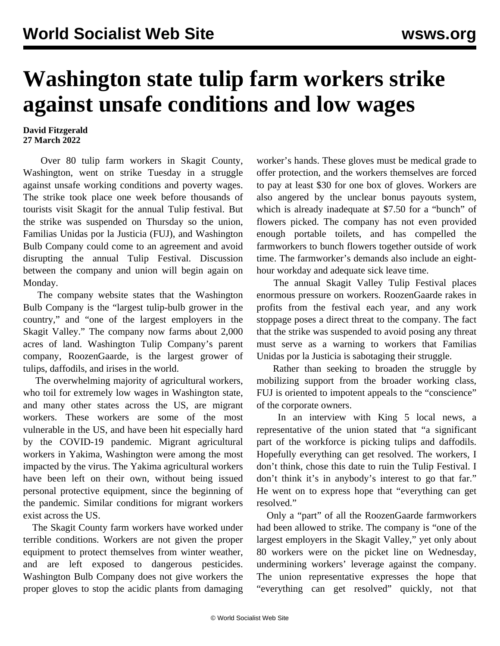## **Washington state tulip farm workers strike against unsafe conditions and low wages**

## **David Fitzgerald 27 March 2022**

 Over 80 tulip farm workers in Skagit County, Washington, went on strike Tuesday in a struggle against unsafe working conditions and poverty wages. The strike took place one week before thousands of tourists visit Skagit for the annual Tulip festival. But the strike was suspended on Thursday so the union, Familias Unidas por la Justicia (FUJ), and Washington Bulb Company could come to an agreement and avoid disrupting the annual Tulip Festival. Discussion between the company and union will begin again on Monday.

 The company website states that the Washington Bulb Company is the "largest tulip-bulb grower in the country," and "one of the largest employers in the Skagit Valley." The company now farms about 2,000 acres of land. Washington Tulip Company's parent company, RoozenGaarde, is the largest grower of tulips, daffodils, and irises in the world.

 The overwhelming majority of agricultural workers, who toil for extremely low wages in Washington state, and many other states across the US, are migrant workers. These workers are some of the most vulnerable in the US, and have been hit especially hard by the COVID-19 pandemic. Migrant agricultural workers in Yakima, Washington were among the most impacted by the virus. The Yakima agricultural workers have been left on their own, without being issued personal protective equipment, [since the beginning of](/en/articles/2020/05/16/yaki-m16.html) [the pandemic.](/en/articles/2020/05/16/yaki-m16.html) Similar conditions for migrant workers exist across the US.

 The Skagit County farm workers have worked under terrible conditions. Workers are not given the proper equipment to protect themselves from winter weather, and are left exposed to dangerous pesticides. Washington Bulb Company does not give workers the proper gloves to stop the acidic plants from damaging worker's hands. These gloves must be medical grade to offer protection, and the workers themselves are forced to pay at least \$30 for one box of gloves. Workers are also angered by the unclear bonus payouts system, which is already inadequate at \$7.50 for a "bunch" of flowers picked. The company has not even provided enough portable toilets, and has compelled the farmworkers to bunch flowers together outside of work time. The farmworker's demands also include an eighthour workday and adequate sick leave time.

 The annual Skagit Valley Tulip Festival places enormous pressure on workers. RoozenGaarde rakes in profits from the festival each year, and any work stoppage poses a direct threat to the company. The fact that the strike was suspended to avoid posing any threat must serve as a warning to workers that Familias Unidas por la Justicia is sabotaging their struggle.

 Rather than seeking to broaden the struggle by mobilizing support from the broader working class, FUJ is oriented to impotent appeals to the "conscience" of the corporate owners.

 In an interview with King 5 local news, a representative of the union stated that "a significant part of the workforce is picking tulips and daffodils. Hopefully everything can get resolved. The workers, I don't think, chose this date to ruin the Tulip Festival. I don't think it's in anybody's interest to go that far." He went on to express hope that "everything can get resolved."

 Only a "part" of all the RoozenGaarde farmworkers had been allowed to strike. The company is "one of the largest employers in the Skagit Valley," yet only about 80 workers were on the picket line on Wednesday, undermining workers' leverage against the company. The union representative expresses the hope that "everything can get resolved" quickly, not that